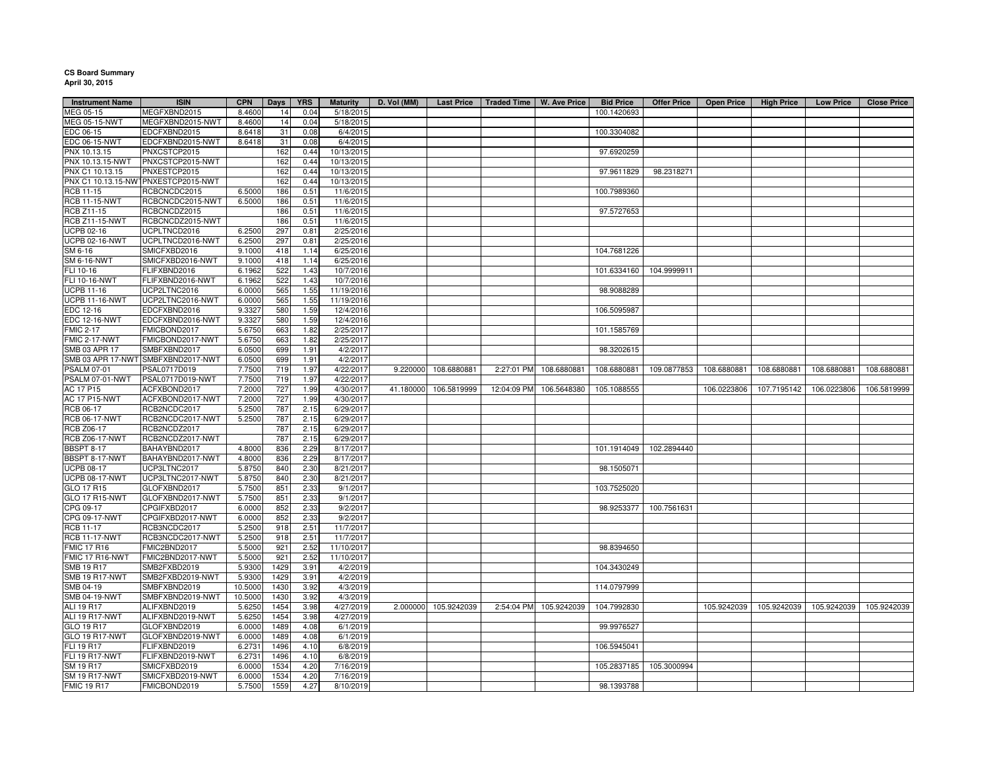## **CS Board Summary April 30, 2015**

| <b>Instrument Name</b> | <b>ISIN</b>                         | <b>CPN</b> | <b>Days</b> | <b>YRS</b> | <b>Maturity</b> | D. Vol (MM) |                      |             | Last Price   Traded Time   W. Ave Price | <b>Bid Price</b> | <b>Offer Price</b>      | <b>Open Price</b> | <b>High Price</b> | <b>Low Price</b>        | <b>Close Price</b> |
|------------------------|-------------------------------------|------------|-------------|------------|-----------------|-------------|----------------------|-------------|-----------------------------------------|------------------|-------------------------|-------------------|-------------------|-------------------------|--------------------|
| MEG 05-15              | MEGFXBND2015                        | 8.4600     | 14          | 0.04       | 5/18/2015       |             |                      |             |                                         | 100.1420693      |                         |                   |                   |                         |                    |
| MEG 05-15-NWT          | MEGFXBND2015-NWT                    | 8.4600     | 14          | 0.04       | 5/18/2015       |             |                      |             |                                         |                  |                         |                   |                   |                         |                    |
| EDC 06-15              | EDCFXBND2015                        | 8.6418     | 31          | 0.08       | 6/4/2015        |             |                      |             |                                         | 100.3304082      |                         |                   |                   |                         |                    |
| EDC 06-15-NWT          | EDCFXBND2015-NWT                    | 8.6418     | 31          | 0.08       | 6/4/2015        |             |                      |             |                                         |                  |                         |                   |                   |                         |                    |
| PNX 10.13.15           | PNXCSTCP2015                        |            | 162         | 0.44       | 10/13/2015      |             |                      |             |                                         | 97.6920259       |                         |                   |                   |                         |                    |
| PNX 10.13.15-NWT       | PNXCSTCP2015-NWT                    |            | 162         | 0.44       | 10/13/2015      |             |                      |             |                                         |                  |                         |                   |                   |                         |                    |
| PNX C1 10.13.15        | PNXESTCP2015                        |            | 162         | 0.44       | 10/13/2015      |             |                      |             |                                         | 97.9611829       | 98.2318271              |                   |                   |                         |                    |
|                        | PNX C1 10.13.15-NWTPNXESTCP2015-NWT |            | 162         | 0.44       | 10/13/2015      |             |                      |             |                                         |                  |                         |                   |                   |                         |                    |
| RCB 11-15              | RCBCNCDC2015                        | 6.5000     | 186         | 0.51       | 11/6/2015       |             |                      |             |                                         | 100.7989360      |                         |                   |                   |                         |                    |
| <b>RCB 11-15-NWT</b>   | RCBCNCDC2015-NWT                    | 6.5000     | 186         | 0.51       | 11/6/2015       |             |                      |             |                                         |                  |                         |                   |                   |                         |                    |
| RCB Z11-15             | RCBCNCDZ2015                        |            | 186         | 0.51       | 11/6/2015       |             |                      |             |                                         | 97.5727653       |                         |                   |                   |                         |                    |
| <b>RCB Z11-15-NWT</b>  | RCBCNCDZ2015-NWT                    |            | 186         | 0.51       | 11/6/2015       |             |                      |             |                                         |                  |                         |                   |                   |                         |                    |
| UCPB 02-16             | UCPLTNCD2016                        | 6.2500     | 297         | 0.81       | 2/25/2016       |             |                      |             |                                         |                  |                         |                   |                   |                         |                    |
| <b>UCPB 02-16-NWT</b>  | UCPLTNCD2016-NWT                    | 6.2500     | 297         | 0.81       | 2/25/2016       |             |                      |             |                                         |                  |                         |                   |                   |                         |                    |
| SM 6-16                | SMICFXBD2016                        | 9.1000     | 418         | 1.14       | 6/25/2016       |             |                      |             |                                         | 104.7681226      |                         |                   |                   |                         |                    |
| <b>SM 6-16-NWT</b>     | SMICFXBD2016-NWT                    | 9.1000     | 418         | 1.14       | 6/25/2016       |             |                      |             |                                         |                  |                         |                   |                   |                         |                    |
| FLI 10-16              | FLIFXBND2016                        | 6.1962     | 522         | 1.43       | 10/7/2016       |             |                      |             |                                         | 101.6334160      | 104.9999911             |                   |                   |                         |                    |
| FLI 10-16-NWT          | FLIFXBND2016-NWT                    | 6.1962     | 522         | 1.43       | 10/7/2016       |             |                      |             |                                         |                  |                         |                   |                   |                         |                    |
|                        |                                     |            |             |            |                 |             |                      |             |                                         | 98.9088289       |                         |                   |                   |                         |                    |
| <b>UCPB 11-16</b>      | UCP2LTNC2016                        | 6.0000     | 565         | 1.55       | 11/19/2016      |             |                      |             |                                         |                  |                         |                   |                   |                         |                    |
| UCPB 11-16-NWT         | UCP2LTNC2016-NWT                    | 6.0000     | 565         | 1.55       | 11/19/2016      |             |                      |             |                                         |                  |                         |                   |                   |                         |                    |
| EDC 12-16              | EDCFXBND2016                        | 9.3327     | 580         | 1.59       | 12/4/2016       |             |                      |             |                                         | 106.5095987      |                         |                   |                   |                         |                    |
| <b>EDC 12-16-NWT</b>   | EDCFXBND2016-NWT                    | 9.3327     | 580         | 1.59       | 12/4/2016       |             |                      |             |                                         |                  |                         |                   |                   |                         |                    |
| <b>FMIC 2-17</b>       | FMICBOND2017                        | 5.6750     | 663         | 1.82       | 2/25/2017       |             |                      |             |                                         | 101.1585769      |                         |                   |                   |                         |                    |
| <b>FMIC 2-17-NWT</b>   | FMICBOND2017-NWT                    | 5.6750     | 663         | 1.82       | 2/25/2017       |             |                      |             |                                         |                  |                         |                   |                   |                         |                    |
| SMB 03 APR 17          | SMBFXBND2017                        | 6.0500     | 699         | 1.91       | 4/2/2017        |             |                      |             |                                         | 98.3202615       |                         |                   |                   |                         |                    |
| SMB 03 APR 17-NWT      | SMBFXBND2017-NWT                    | 6.0500     | 699         | 1.91       | 4/2/2017        |             |                      |             |                                         |                  |                         |                   |                   |                         |                    |
| PSALM 07-01            | PSAL0717D019                        | 7.7500     | 719         | 1.97       | 4/22/2017       | 9.220000    | 108.6880881          |             | 2:27:01 PM 108.6880881                  | 108.6880881      | 109.0877853             | 108.6880881       | 108.6880881       | 108.6880881             | 108.6880881        |
| PSALM 07-01-NWT        | PSAL0717D019-NWT                    | 7.7500     | 719         | 1.97       | 4/22/2017       |             |                      |             |                                         |                  |                         |                   |                   |                         |                    |
| <b>AC 17 P15</b>       | ACFXBOND2017                        | 7.2000     | 727         | 1.99       | 4/30/2017       | 41.180000   | 106.5819999          | 12:04:09 PM | 106.5648380                             | 105.1088555      |                         | 106.0223806       | 107.7195142       | 106.0223806             | 106.5819999        |
| <b>AC 17 P15-NWT</b>   | ACFXBOND2017-NWT                    | 7.2000     | 727         | 1.99       | 4/30/2017       |             |                      |             |                                         |                  |                         |                   |                   |                         |                    |
| RCB 06-17              | RCB2NCDC2017                        | 5.2500     | 787         | 2.15       | 6/29/2017       |             |                      |             |                                         |                  |                         |                   |                   |                         |                    |
| <b>RCB 06-17-NWT</b>   | RCB2NCDC2017-NWT                    | 5.2500     | 787         | 2.15       | 6/29/2017       |             |                      |             |                                         |                  |                         |                   |                   |                         |                    |
| RCB Z06-17             | RCB2NCDZ2017                        |            | 787         | 2.15       | 6/29/2017       |             |                      |             |                                         |                  |                         |                   |                   |                         |                    |
| <b>RCB Z06-17-NWT</b>  | RCB2NCDZ2017-NWT                    |            | 787         | 2.15       | 6/29/2017       |             |                      |             |                                         |                  |                         |                   |                   |                         |                    |
| <b>BBSPT 8-17</b>      | BAHAYBND2017                        | 4.8000     | 836         | 2.29       | 8/17/2017       |             |                      |             |                                         |                  | 101.1914049 102.2894440 |                   |                   |                         |                    |
| BBSPT 8-17-NWT         | BAHAYBND2017-NWT                    | 4.8000     | 836         | 2.29       | 8/17/2017       |             |                      |             |                                         |                  |                         |                   |                   |                         |                    |
| <b>UCPB 08-17</b>      | UCP3LTNC2017                        | 5.8750     | 840         | 2.30       | 8/21/2017       |             |                      |             |                                         | 98.1505071       |                         |                   |                   |                         |                    |
| <b>UCPB 08-17-NWT</b>  | UCP3LTNC2017-NWT                    | 5.8750     | 840         | 2.30       | 8/21/2017       |             |                      |             |                                         |                  |                         |                   |                   |                         |                    |
| GLO 17 R15             | GLOFXBND2017                        | 5.7500     | 851         | 2.33       | 9/1/2017        |             |                      |             |                                         | 103.7525020      |                         |                   |                   |                         |                    |
| <b>GLO 17 R15-NWT</b>  | GLOFXBND2017-NWT                    | 5.7500     | 851         | 2.33       | 9/1/2017        |             |                      |             |                                         |                  |                         |                   |                   |                         |                    |
| CPG 09-17              | CPGIFXBD2017                        | 6.0000     | 852         | 2.33       | 9/2/2017        |             |                      |             |                                         | 98.9253377       | 100.7561631             |                   |                   |                         |                    |
| CPG 09-17-NWT          | CPGIFXBD2017-NWT                    | 6.0000     | 852         | 2.33       | 9/2/2017        |             |                      |             |                                         |                  |                         |                   |                   |                         |                    |
| RCB 11-17              | RCB3NCDC2017                        | 5.2500     | 918         | 2.51       | 11/7/2017       |             |                      |             |                                         |                  |                         |                   |                   |                         |                    |
| <b>RCB 11-17-NWT</b>   | RCB3NCDC2017-NWT                    | 5.2500     | 918         | 2.51       | 11/7/2017       |             |                      |             |                                         |                  |                         |                   |                   |                         |                    |
| <b>FMIC 17 R16</b>     | FMIC2BND2017                        | 5.5000     | 921         | 2.52       | 11/10/2017      |             |                      |             |                                         | 98.8394650       |                         |                   |                   |                         |                    |
| FMIC 17 R16-NWT        | FMIC2BND2017-NWT                    | 5.5000     | 921         | 2.52       | 11/10/2017      |             |                      |             |                                         |                  |                         |                   |                   |                         |                    |
| <b>SMB 19 R17</b>      | SMB2FXBD2019                        | 5.9300     | 1429        | 3.91       | 4/2/2019        |             |                      |             |                                         | 104.3430249      |                         |                   |                   |                         |                    |
| <b>SMB 19 R17-NWT</b>  | SMB2FXBD2019-NWT                    | 5.9300     | 1429        | 3.91       | 4/2/2019        |             |                      |             |                                         |                  |                         |                   |                   |                         |                    |
| SMB 04-19              | SMBFXBND2019                        | 10.5000    | 1430        | 3.92       | 4/3/2019        |             |                      |             |                                         | 114.0797999      |                         |                   |                   |                         |                    |
| SMB 04-19-NWT          | SMBFXBND2019-NWT                    | 10.5000    | 1430        | 3.92       | 4/3/2019        |             |                      |             |                                         |                  |                         |                   |                   |                         |                    |
|                        |                                     |            |             |            |                 |             |                      |             |                                         |                  |                         |                   |                   |                         |                    |
| ALI 19 R17             | ALIFXBND2019                        | 5.6250     | 1454        | 3.98       | 4/27/2019       |             | 2.000000 105.9242039 |             | 2:54:04 PM 105.9242039                  | 104.7992830      |                         | 105.9242039       |                   | 105.9242039 105.9242039 | 105.9242039        |
| ALI 19 R17-NWT         | ALIFXBND2019-NWT                    | 5.6250     | 1454        | 3.98       | 4/27/2019       |             |                      |             |                                         |                  |                         |                   |                   |                         |                    |
| GLO 19 R17             | GLOFXBND2019                        | 6.0000     | 1489        | 4.08       | 6/1/2019        |             |                      |             |                                         | 99.9976527       |                         |                   |                   |                         |                    |
| GLO 19 R17-NWT         | GLOFXBND2019-NWT                    | 6.0000     | 1489        | 4.08       | 6/1/2019        |             |                      |             |                                         |                  |                         |                   |                   |                         |                    |
| FLI 19 R17             | FLIFXBND2019                        | 6.2731     | 1496        | 4.10       | 6/8/2019        |             |                      |             |                                         | 106.5945041      |                         |                   |                   |                         |                    |
| <b>FLI 19 R17-NWT</b>  | FLIFXBND2019-NWT                    | 6.2731     | 1496        | 4.10       | 6/8/2019        |             |                      |             |                                         |                  |                         |                   |                   |                         |                    |
| SM 19 R17              | SMICFXBD2019                        | 6.0000     | 1534        | 4.20       | 7/16/2019       |             |                      |             |                                         | 105.2837185      | 105.3000994             |                   |                   |                         |                    |
| <b>SM 19 R17-NWT</b>   | SMICFXBD2019-NWT                    | 6.0000     | 1534        | 4.20       | 7/16/2019       |             |                      |             |                                         |                  |                         |                   |                   |                         |                    |
| <b>FMIC 19 R17</b>     | FMICBOND2019                        | 5.7500     | 1559        | 4.27       | 8/10/2019       |             |                      |             |                                         | 98.1393788       |                         |                   |                   |                         |                    |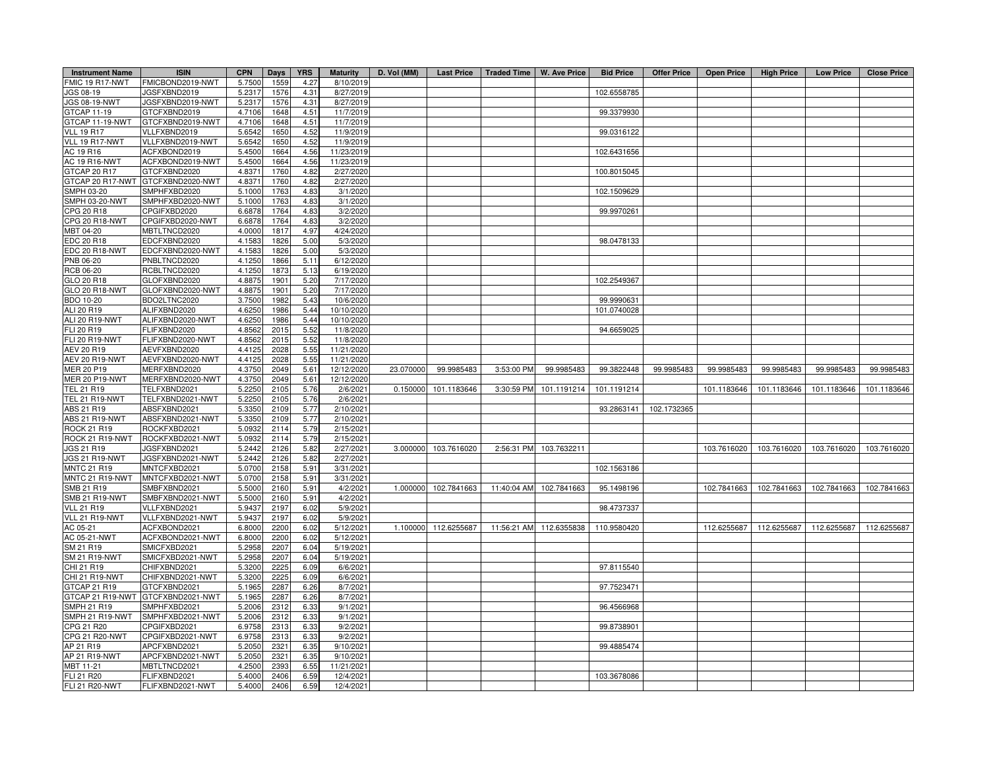| <b>Instrument Name</b>                | <b>ISIN</b>                       | <b>CPN</b> | Days | <b>YRS</b>   | <b>Maturity</b> | D. Vol (MM) | <b>Last Price</b> | Traded Time   W. Ave Price |                         | <b>Bid Price</b> | Offer Price | <b>Open Price</b> | <b>High Price</b> | <b>Low Price</b> | <b>Close Price</b> |
|---------------------------------------|-----------------------------------|------------|------|--------------|-----------------|-------------|-------------------|----------------------------|-------------------------|------------------|-------------|-------------------|-------------------|------------------|--------------------|
| FMIC 19 R17-NWT                       | FMICBOND2019-NWT                  | 5.750      | 1559 | 4.27         | 8/10/2019       |             |                   |                            |                         |                  |             |                   |                   |                  |                    |
| JGS 08-19                             | JGSFXBND2019                      | 5.2317     | 1576 | 4.31         | 8/27/2019       |             |                   |                            |                         | 102.6558785      |             |                   |                   |                  |                    |
| JGS 08-19-NWT                         | JGSFXBND2019-NWT                  | 5.231      | 1576 | 4.31         | 8/27/2019       |             |                   |                            |                         |                  |             |                   |                   |                  |                    |
| GTCAP 11-19                           | GTCFXBND2019                      | 4.7106     | 1648 | 4.51         | 11/7/2019       |             |                   |                            |                         | 99.3379930       |             |                   |                   |                  |                    |
| GTCAP 11-19-NWT                       | GTCFXBND2019-NWT                  | 4.7106     | 1648 | 4.51         | 11/7/2019       |             |                   |                            |                         |                  |             |                   |                   |                  |                    |
| <b>VLL 19 R17</b>                     | VLLFXBND2019                      | 5.6542     | 1650 | 4.52         | 11/9/2019       |             |                   |                            |                         | 99.0316122       |             |                   |                   |                  |                    |
| VLL 19 R17-NWT                        | VLLFXBND2019-NWT                  | 5.6542     | 1650 | 4.52         | 11/9/2019       |             |                   |                            |                         |                  |             |                   |                   |                  |                    |
| AC 19 R16                             | ACFXBOND2019                      | 5.4500     | 1664 | 4.56         | 11/23/2019      |             |                   |                            |                         | 102.6431656      |             |                   |                   |                  |                    |
| <b>AC 19 R16-NWT</b>                  | ACFXBOND2019-NWT                  | 5.450      | 1664 | 4.56         | 11/23/2019      |             |                   |                            |                         |                  |             |                   |                   |                  |                    |
| GTCAP 20 R17                          | GTCFXBND2020                      | 4.837      | 1760 | 4.82         | 2/27/2020       |             |                   |                            |                         | 100.8015045      |             |                   |                   |                  |                    |
|                                       | GTCAP 20 R17-NWT GTCFXBND2020-NWT | 4.837      | 1760 | 4.82         | 2/27/2020       |             |                   |                            |                         |                  |             |                   |                   |                  |                    |
| SMPH 03-20                            | SMPHFXBD2020                      | 5.100      | 1763 | 4.83         | 3/1/2020        |             |                   |                            |                         | 102.1509629      |             |                   |                   |                  |                    |
| SMPH 03-20-NWT                        | SMPHFXBD2020-NWT                  | 5.1000     | 1763 | 4.83         | 3/1/2020        |             |                   |                            |                         |                  |             |                   |                   |                  |                    |
| CPG 20 R18                            | CPGIFXBD2020                      | 6.6878     | 1764 | 4.83         | 3/2/2020        |             |                   |                            |                         | 99.9970261       |             |                   |                   |                  |                    |
| CPG 20 R18-NWT                        | CPGIFXBD2020-NWT                  | 6.6878     | 1764 | 4.83         | 3/2/2020        |             |                   |                            |                         |                  |             |                   |                   |                  |                    |
| MBT 04-20                             | MBTLTNCD2020                      | 4.0000     | 1817 | 4.97         | 4/24/2020       |             |                   |                            |                         |                  |             |                   |                   |                  |                    |
| <b>EDC 20 R18</b>                     | EDCFXBND2020                      | 4.158      | 1826 | 5.00         | 5/3/2020        |             |                   |                            |                         | 98.0478133       |             |                   |                   |                  |                    |
| EDC 20 R18-NWT                        | EDCFXBND2020-NWT                  | 4.1583     | 1826 | 5.00         | 5/3/2020        |             |                   |                            |                         |                  |             |                   |                   |                  |                    |
| PNB 06-20                             | PNBLTNCD2020                      | 4.1250     | 1866 | 5.11         | 6/12/2020       |             |                   |                            |                         |                  |             |                   |                   |                  |                    |
| RCB 06-20                             | RCBLTNCD2020                      | 4.1250     | 1873 | 5.13         | 6/19/2020       |             |                   |                            |                         |                  |             |                   |                   |                  |                    |
| GLO 20 R18                            | GLOFXBND2020                      | 4.8875     | 1901 | 5.20         | 7/17/2020       |             |                   |                            |                         | 102.2549367      |             |                   |                   |                  |                    |
| GLO 20 R18-NWT                        | GLOFXBND2020-NWT                  | 4.8875     | 1901 | 5.20         | 7/17/2020       |             |                   |                            |                         |                  |             |                   |                   |                  |                    |
| <b>BDO 10-20</b>                      | BDO2LTNC2020                      | 3.7500     | 1982 | 5.43         | 10/6/2020       |             |                   |                            |                         | 99.9990631       |             |                   |                   |                  |                    |
| ALI 20 R19                            | ALIFXBND2020                      | 4.6250     | 1986 | 5.44         | 10/10/2020      |             |                   |                            |                         | 101.0740028      |             |                   |                   |                  |                    |
| ALI 20 R19-NWT                        | ALIFXBND2020-NWT                  | 4.625      | 1986 | 5.44         | 10/10/2020      |             |                   |                            |                         |                  |             |                   |                   |                  |                    |
| FLI 20 R19                            | FLIFXBND2020                      | 4.8562     | 2015 | 5.52         | 11/8/2020       |             |                   |                            |                         | 94.6659025       |             |                   |                   |                  |                    |
| <b>FLI 20 R19-NWT</b>                 | FLIFXBND2020-NWT                  | 4.856      | 2015 | 5.52         | 11/8/2020       |             |                   |                            |                         |                  |             |                   |                   |                  |                    |
| AEV 20 R19                            | AEVFXBND2020                      | 4.412      | 2028 | 5.55         | 11/21/2020      |             |                   |                            |                         |                  |             |                   |                   |                  |                    |
| AEV 20 R19-NWT                        | AEVFXBND2020-NWT                  | 4.4125     | 2028 | 5.55         | 11/21/2020      |             |                   |                            |                         |                  |             |                   |                   |                  |                    |
| MER 20 P19                            | MERFXBND2020                      | 4.3750     | 2049 | 5.61         | 12/12/2020      | 23.070000   | 99.9985483        | 3:53:00 PM                 | 99.9985483              | 99.3822448       | 99.9985483  | 99.9985483        | 99.9985483        | 99.9985483       | 99.9985483         |
| <b>MER 20 P19-NWT</b>                 | MERFXBND2020-NWT                  | 4.3750     | 2049 | 5.61         | 12/12/2020      |             |                   |                            |                         |                  |             |                   |                   |                  |                    |
| TEL 21 R19                            | TELFXBND2021                      | 5.2250     | 2105 | 5.76         | 2/6/2021        | 0.150000    | 101.1183646       | 3:30:59 PM                 | 101.1191214             | 101.1191214      |             | 101.1183646       | 101.1183646       | 101.1183646      | 101.1183646        |
| TEL 21 R19-NWT                        | TELFXBND2021-NWT                  | 5.2250     | 2105 | 5.76         | 2/6/2021        |             |                   |                            |                         |                  |             |                   |                   |                  |                    |
| ABS 21 R19                            | ABSFXBND2021                      | 5.3350     | 2109 | 5.77         | 2/10/2021       |             |                   |                            |                         | 93.2863141       | 102.1732365 |                   |                   |                  |                    |
| ABS 21 R19-NWT                        | ABSFXBND2021-NWT                  | 5.3350     | 2109 | 5.77         | 2/10/2021       |             |                   |                            |                         |                  |             |                   |                   |                  |                    |
| ROCK 21 R19                           | ROCKFXBD2021                      | 5.093      | 2114 | 5.79         | 2/15/2021       |             |                   |                            |                         |                  |             |                   |                   |                  |                    |
| ROCK 21 R19-NWT                       | ROCKFXBD2021-NWT                  | 5.0932     | 2114 | 5.79         | 2/15/2021       |             |                   |                            |                         |                  |             |                   |                   |                  |                    |
| JGS 21 R19                            | JGSFXBND2021                      | 5.2442     | 2126 | 5.82         | 2/27/2021       | 3.000000    | 103.7616020       | 2:56:31 PM                 | 103.7632211             |                  |             | 103.7616020       | 103.7616020       | 103.7616020      | 103.7616020        |
| JGS 21 R19-NWT                        | JGSFXBND2021-NWT                  | 5.2442     | 2126 | 5.82         | 2/27/2021       |             |                   |                            |                         |                  |             |                   |                   |                  |                    |
| <b>MNTC 21 R19</b>                    | MNTCFXBD2021                      | 5.070      | 2158 | 5.91         | 3/31/2021       |             |                   |                            |                         | 102.1563186      |             |                   |                   |                  |                    |
| MNTC 21 R19-NWT                       | MNTCFXBD2021-NWT                  | 5.070      | 2158 | 5.91         | 3/31/2021       |             |                   |                            |                         |                  |             |                   |                   |                  |                    |
| SMB 21 R19                            | SMBFXBND2021                      | 5.500      | 2160 | 5.91         | 4/2/2021        | 1.000000    | 102.7841663       | 11:40:04 AM                | 102.7841663             | 95.1498196       |             | 102.7841663       | 102.7841663       | 102.7841663      | 102.7841663        |
| <b>SMB 21 R19-NWT</b>                 | SMBFXBND2021-NWT                  | 5.500      | 2160 | 5.91         | 4/2/2021        |             |                   |                            |                         |                  |             |                   |                   |                  |                    |
| <b>VLL 21 R19</b>                     | VLLFXBND2021                      | 5.943      | 2197 | 6.02         | 5/9/2021        |             |                   |                            |                         | 98.4737337       |             |                   |                   |                  |                    |
| VLL 21 R19-NWT                        | VLLFXBND2021-NWT                  | 5.9437     | 2197 | 6.02         | 5/9/2021        |             |                   |                            |                         |                  |             |                   |                   |                  |                    |
| AC 05-21                              | ACFXBOND2021                      | 6.800      | 2200 | 6.02         | 5/12/2021       | 1.100000    | 112.6255687       |                            | 11:56:21 AM 112.6355838 | 110.9580420      |             | 112.6255687       | 112.6255687       | 112.6255687      | 112.6255687        |
| AC 05-21-NWT                          | ACFXBOND2021-NWT                  | 6.8000     | 2200 | 6.02         | 5/12/2021       |             |                   |                            |                         |                  |             |                   |                   |                  |                    |
| SM 21 R19                             | SMICFXBD2021                      | 5.2958     | 2207 | 6.04         | 5/19/2021       |             |                   |                            |                         |                  |             |                   |                   |                  |                    |
| SM 21 R19-NWT                         | SMICFXBD2021-NWT                  | 5.2958     | 2207 | 6.04         | 5/19/2021       |             |                   |                            |                         |                  |             |                   |                   |                  |                    |
| CHI 21 R19                            | CHIFXBND2021                      | 5.3200     | 2225 | 6.09         | 6/6/2021        |             |                   |                            |                         | 97.8115540       |             |                   |                   |                  |                    |
| CHI 21 R19-NWT                        | CHIFXBND2021-NWT                  | 5.3200     | 2225 | 6.09         | 6/6/2021        |             |                   |                            |                         |                  |             |                   |                   |                  |                    |
|                                       |                                   |            |      |              |                 |             |                   |                            |                         |                  |             |                   |                   |                  |                    |
| GTCAP 21 R19                          | GTCFXBND2021                      | 5.196      | 2287 | 6.26         | 8/7/2021        |             |                   |                            |                         | 97.7523471       |             |                   |                   |                  |                    |
|                                       | GTCAP 21 R19-NWT GTCFXBND2021-NWT | 5.1965     | 2287 | 6.26         | 8/7/2021        |             |                   |                            |                         |                  |             |                   |                   |                  |                    |
| <b>SMPH 21 R19</b><br>SMPH 21 R19-NWT | SMPHFXBD2021                      | 5.2006     | 2312 | 6.33<br>6.33 | 9/1/2021        |             |                   |                            |                         | 96.4566968       |             |                   |                   |                  |                    |
|                                       | SMPHFXBD2021-NWT                  | 5.2006     | 2312 |              | 9/1/2021        |             |                   |                            |                         |                  |             |                   |                   |                  |                    |
| CPG 21 R20                            | CPGIFXBD2021                      | 6.9758     | 2313 | 6.33         | 9/2/2021        |             |                   |                            |                         | 99.8738901       |             |                   |                   |                  |                    |
| CPG 21 R20-NWT                        | CPGIFXBD2021-NWT                  | 6.9758     | 2313 | 6.33         | 9/2/2021        |             |                   |                            |                         |                  |             |                   |                   |                  |                    |
| AP 21 R19                             | APCFXBND2021                      | 5.2050     | 2321 | 6.35         | 9/10/2021       |             |                   |                            |                         | 99.4885474       |             |                   |                   |                  |                    |
| AP 21 R19-NWT                         | APCFXBND2021-NWT                  | 5.2050     | 2321 | 6.35         | 9/10/2021       |             |                   |                            |                         |                  |             |                   |                   |                  |                    |
| MBT 11-21                             | MBTLTNCD202                       | 4.250      | 2393 | 6.55         | 11/21/2021      |             |                   |                            |                         |                  |             |                   |                   |                  |                    |
| FLI 21 R20                            | FLIFXBND2021                      | 5.4000     | 2406 | 6.59         | 12/4/2021       |             |                   |                            |                         | 103.3678086      |             |                   |                   |                  |                    |
| <b>FLI 21 R20-NWT</b>                 | FLIFXBND2021-NWT                  | 5.4000     | 2406 | 6.59         | 12/4/2021       |             |                   |                            |                         |                  |             |                   |                   |                  |                    |